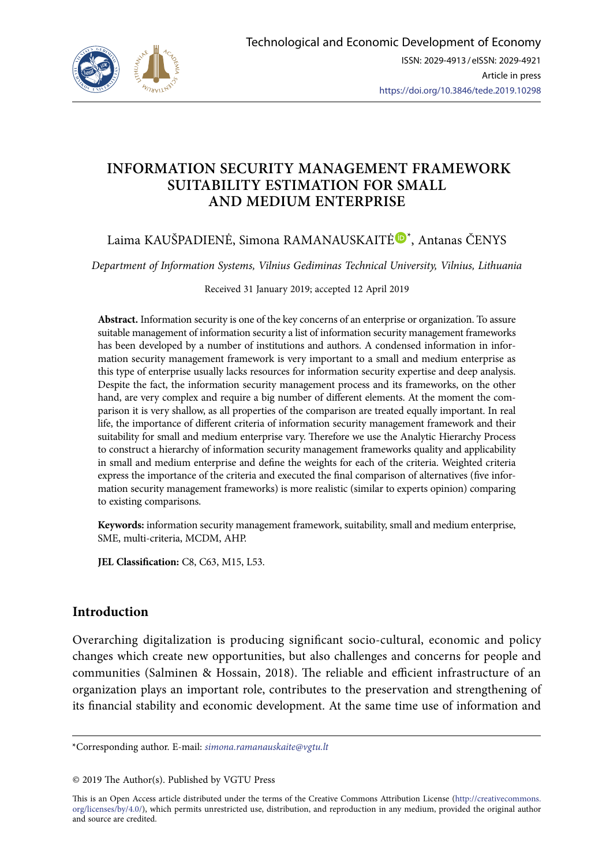

# **INFORMATION SECURITY MANAGEMENT FRAMEWORK SUITABILITY ESTIMATION FOR SMALL AND MEDIUM ENTERPRISE**

# Laima KAUŠPADIENĖ, Simona RAMANAUSKAITĖ®[\\*](https://orcid.org/0000-0003-3195-4280), Antanas ČENYS

*Department of Information Systems, Vilnius Gediminas Technical University, Vilnius, Lithuania*

Received 31 January 2019; accepted 12 April 2019

**Abstract.** Information security is one of the key concerns of an enterprise or organization. To assure suitable management of information security a list of information security management frameworks has been developed by a number of institutions and authors. A condensed information in information security management framework is very important to a small and medium enterprise as this type of enterprise usually lacks resources for information security expertise and deep analysis. Despite the fact, the information security management process and its frameworks, on the other hand, are very complex and require a big number of different elements. At the moment the comparison it is very shallow, as all properties of the comparison are treated equally important. In real life, the importance of different criteria of information security management framework and their suitability for small and medium enterprise vary. Therefore we use the Analytic Hierarchy Process to construct a hierarchy of information security management frameworks quality and applicability in small and medium enterprise and define the weights for each of the criteria. Weighted criteria express the importance of the criteria and executed the final comparison of alternatives (five information security management frameworks) is more realistic (similar to experts opinion) comparing to existing comparisons.

**Keywords:** information security management framework, suitability, small and medium enterprise, SME, multi-criteria, MCDM, AHP.

**JEL Classification:** C8, C63, M15, L53.

# **Introduction**

Overarching digitalization is producing significant socio-cultural, economic and policy changes which create new opportunities, but also challenges and concerns for people and communities (Salminen & Hossain, 2018). The reliable and efficient infrastructure of an organization plays an important role, contributes to the preservation and strengthening of its financial stability and economic development. At the same time use of information and

This is an Open Access article distributed under the terms of the Creative Commons Attribution License ([http://creativecommons.](http://dx.doi.org/10.1016/S0377-2217(03)00091-2) [org/licenses/by/4.0/\)](http://dx.doi.org/10.1016/S0377-2217(03)00091-2), which permits unrestricted use, distribution, and reproduction in any medium, provided the original author and source are credited.

<sup>\*</sup>Corresponding author. E-mail: *simona.ramanauskaite@vgtu.lt*

<sup>© 2019</sup> The Author(s). Published by VGTU Press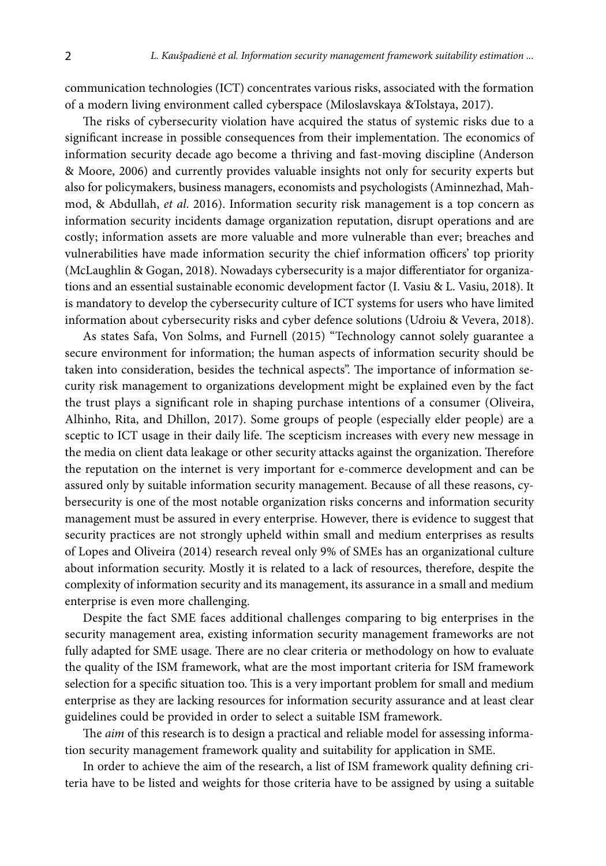communication technologies (ICT) concentrates various risks, associated with the formation of a modern living environment called cyberspace (Miloslavskaya &Tolstaya, 2017).

The risks of cybersecurity violation have acquired the status of systemic risks due to a significant increase in possible consequences from their implementation. The economics of information security decade ago become a thriving and fast-moving discipline (Anderson & Moore, 2006) and currently provides valuable insights not only for security experts but also for policymakers, business managers, economists and psychologists (Aminnezhad, Mahmod, & Abdullah, *et al*. 2016). Information security risk management is a top concern as information security incidents damage organization reputation, disrupt operations and are costly; information assets are more valuable and more vulnerable than ever; breaches and vulnerabilities have made information security the chief information officers' top priority (McLaughlin & Gogan, 2018). Nowadays cybersecurity is a major differentiator for organizations and an essential sustainable economic development factor (I. Vasiu & L. Vasiu, 2018). It is mandatory to develop the cybersecurity culture of ICT systems for users who have limited information about cybersecurity risks and cyber defence solutions (Udroiu & Vevera, 2018).

As states Safa, Von Solms, and Furnell (2015) "Technology cannot solely guarantee a secure environment for information; the human aspects of information security should be taken into consideration, besides the technical aspects". The importance of information security risk management to organizations development might be explained even by the fact the trust plays a significant role in shaping purchase intentions of a consumer (Oliveira, Alhinho, Rita, and Dhillon, 2017). Some groups of people (especially elder people) are a sceptic to ICT usage in their daily life. The scepticism increases with every new message in the media on client data leakage or other security attacks against the organization. Therefore the reputation on the internet is very important for e-commerce development and can be assured only by suitable information security management. Because of all these reasons, cybersecurity is one of the most notable organization risks concerns and information security management must be assured in every enterprise. However, there is evidence to suggest that security practices are not strongly upheld within small and medium enterprises as results of Lopes and Oliveira (2014) research reveal only 9% of SMEs has an organizational culture about information security. Mostly it is related to a lack of resources, therefore, despite the complexity of information security and its management, its assurance in a small and medium enterprise is even more challenging.

Despite the fact SME faces additional challenges comparing to big enterprises in the security management area, existing information security management frameworks are not fully adapted for SME usage. There are no clear criteria or methodology on how to evaluate the quality of the ISM framework, what are the most important criteria for ISM framework selection for a specific situation too. This is a very important problem for small and medium enterprise as they are lacking resources for information security assurance and at least clear guidelines could be provided in order to select a suitable ISM framework.

The *aim* of this research is to design a practical and reliable model for assessing information security management framework quality and suitability for application in SME.

In order to achieve the aim of the research, a list of ISM framework quality defining criteria have to be listed and weights for those criteria have to be assigned by using a suitable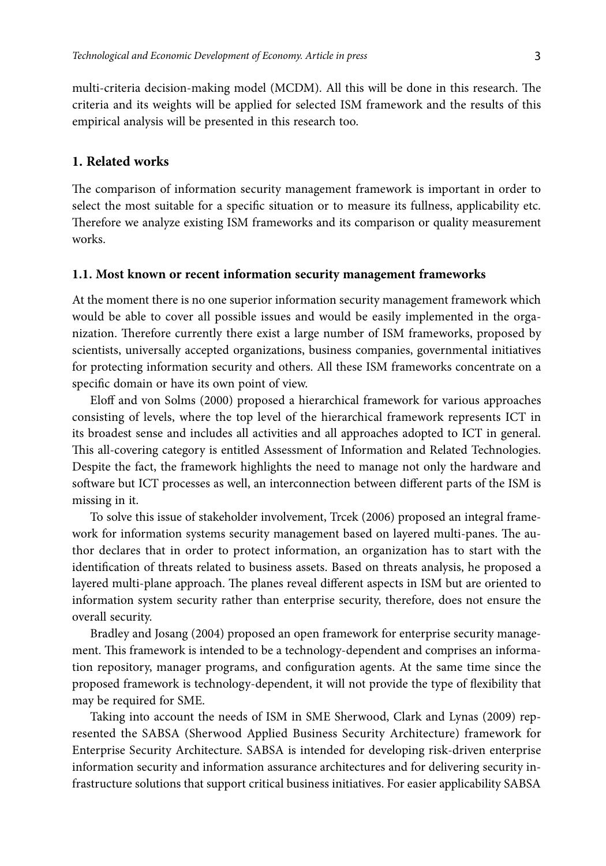multi-criteria decision-making model (MCDM). All this will be done in this research. The criteria and its weights will be applied for selected ISM framework and the results of this empirical analysis will be presented in this research too.

### **1. Related works**

The comparison of information security management framework is important in order to select the most suitable for a specific situation or to measure its fullness, applicability etc. Therefore we analyze existing ISM frameworks and its comparison or quality measurement works.

### **1.1. Most known or recent information security management frameworks**

At the moment there is no one superior information security management framework which would be able to cover all possible issues and would be easily implemented in the organization. Therefore currently there exist a large number of ISM frameworks, proposed by scientists, universally accepted organizations, business companies, governmental initiatives for protecting information security and others. All these ISM frameworks concentrate on a specific domain or have its own point of view.

Eloff and von Solms (2000) proposed a hierarchical framework for various approaches consisting of levels, where the top level of the hierarchical framework represents ICT in its broadest sense and includes all activities and all approaches adopted to ICT in general. This all-covering category is entitled Assessment of Information and Related Technologies. Despite the fact, the framework highlights the need to manage not only the hardware and software but ICT processes as well, an interconnection between different parts of the ISM is missing in it.

To solve this issue of stakeholder involvement, Trcek (2006) proposed an integral framework for information systems security management based on layered multi-panes. The author declares that in order to protect information, an organization has to start with the identification of threats related to business assets. Based on threats analysis, he proposed a layered multi-plane approach. The planes reveal different aspects in ISM but are oriented to information system security rather than enterprise security, therefore, does not ensure the overall security.

Bradley and Josang (2004) proposed an open framework for enterprise security management. This framework is intended to be a technology-dependent and comprises an information repository, manager programs, and configuration agents. At the same time since the proposed framework is technology-dependent, it will not provide the type of flexibility that may be required for SME.

Taking into account the needs of ISM in SME Sherwood, Clark and Lynas (2009) represented the SABSA (Sherwood Applied Business Security Architecture) framework for Enterprise Security Architecture. SABSA is intended for developing risk-driven enterprise information security and information assurance architectures and for delivering security infrastructure solutions that support critical business initiatives. For easier applicability SABSA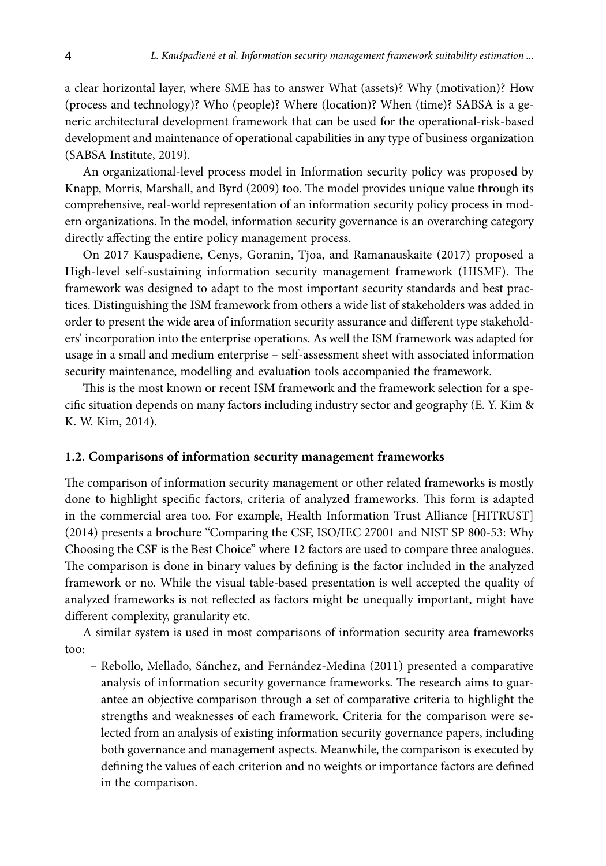a clear horizontal layer, where SME has to answer What (assets)? Why (motivation)? How (process and technology)? Who (people)? Where (location)? When (time)? SABSA is a generic architectural development framework that can be used for the operational-risk-based development and maintenance of operational capabilities in any type of business organization (SABSA Institute, 2019).

An organizational-level process model in Information security policy was proposed by Knapp, Morris, Marshall, and Byrd (2009) too. The model provides unique value through its comprehensive, real-world representation of an information security policy process in modern organizations. In the model, information security governance is an overarching category directly affecting the entire policy management process.

On 2017 Kauspadiene, Cenys, Goranin, Tjoa, and Ramanauskaite (2017) proposed a High-level self-sustaining information security management framework (HISMF). The framework was designed to adapt to the most important security standards and best practices. Distinguishing the ISM framework from others a wide list of stakeholders was added in order to present the wide area of information security assurance and different type stakeholders' incorporation into the enterprise operations. As well the ISM framework was adapted for usage in a small and medium enterprise – self-assessment sheet with associated information security maintenance, modelling and evaluation tools accompanied the framework.

This is the most known or recent ISM framework and the framework selection for a specific situation depends on many factors including industry sector and geography (E. Y. Kim & K. W. Kim, 2014).

### **1.2. Comparisons of information security management frameworks**

The comparison of information security management or other related frameworks is mostly done to highlight specific factors, criteria of analyzed frameworks. This form is adapted in the commercial area too. For example, Health Information Trust Alliance [HITRUST] (2014) presents a brochure "Comparing the CSF, ISO/IEC 27001 and NIST SP 800-53: Why Choosing the CSF is the Best Choice" where 12 factors are used to compare three analogues. The comparison is done in binary values by defining is the factor included in the analyzed framework or no. While the visual table-based presentation is well accepted the quality of analyzed frameworks is not reflected as factors might be unequally important, might have different complexity, granularity etc.

A similar system is used in most comparisons of information security area frameworks too:

– Rebollo, Mellado, Sánchez, and Fernández-Medina (2011) presented a comparative analysis of information security governance frameworks. The research aims to guarantee an objective comparison through a set of comparative criteria to highlight the strengths and weaknesses of each framework. Criteria for the comparison were selected from an analysis of existing information security governance papers, including both governance and management aspects. Meanwhile, the comparison is executed by defining the values of each criterion and no weights or importance factors are defined in the comparison.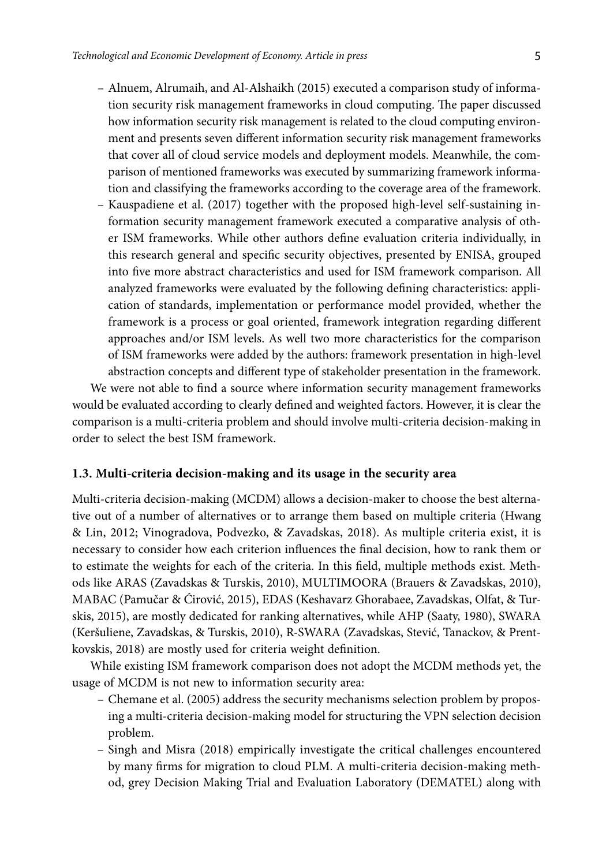- Alnuem, Alrumaih, and Al-Alshaikh (2015) executed a comparison study of information security risk management frameworks in cloud computing. The paper discussed how information security risk management is related to the cloud computing environment and presents seven different information security risk management frameworks that cover all of cloud service models and deployment models. Meanwhile, the comparison of mentioned frameworks was executed by summarizing framework information and classifying the frameworks according to the coverage area of the framework.
- Kauspadiene et al. (2017) together with the proposed high-level self-sustaining information security management framework executed a comparative analysis of other ISM frameworks. While other authors define evaluation criteria individually, in this research general and specific security objectives, presented by ENISA, grouped into five more abstract characteristics and used for ISM framework comparison. All analyzed frameworks were evaluated by the following defining characteristics: application of standards, implementation or performance model provided, whether the framework is a process or goal oriented, framework integration regarding different approaches and/or ISM levels. As well two more characteristics for the comparison of ISM frameworks were added by the authors: framework presentation in high-level abstraction concepts and different type of stakeholder presentation in the framework.

We were not able to find a source where information security management frameworks would be evaluated according to clearly defined and weighted factors. However, it is clear the comparison is a multi-criteria problem and should involve multi-criteria decision-making in order to select the best ISM framework.

### **1.3. Multi-criteria decision-making and its usage in the security area**

Multi-criteria decision-making (MCDM) allows a decision-maker to choose the best alternative out of a number of alternatives or to arrange them based on multiple criteria (Hwang & Lin, 2012; Vinogradova, Podvezko, & Zavadskas, 2018). As multiple criteria exist, it is necessary to consider how each criterion influences the final decision, how to rank them or to estimate the weights for each of the criteria. In this field, multiple methods exist. Methods like ARAS (Zavadskas & Turskis, 2010), MULTIMOORA (Brauers & Zavadskas, 2010), MABAC (Pamučar & Ćirović, 2015), EDAS (Keshavarz Ghorabaee, Zavadskas, Olfat, & Turskis, 2015), are mostly dedicated for ranking alternatives, while AHP (Saaty, 1980), SWARA (Keršuliene, Zavadskas, & Turskis, 2010), R-SWARA (Zavadskas, Stević, Tanackov, & Prentkovskis, 2018) are mostly used for criteria weight definition.

While existing ISM framework comparison does not adopt the MCDM methods yet, the usage of MCDM is not new to information security area:

- Chemane et al. (2005) address the security mechanisms selection problem by proposing a multi-criteria decision-making model for structuring the VPN selection decision problem.
- Singh and Misra (2018) empirically investigate the critical challenges encountered by many firms for migration to cloud PLM. A multi-criteria decision-making method, grey Decision Making Trial and Evaluation Laboratory (DEMATEL) along with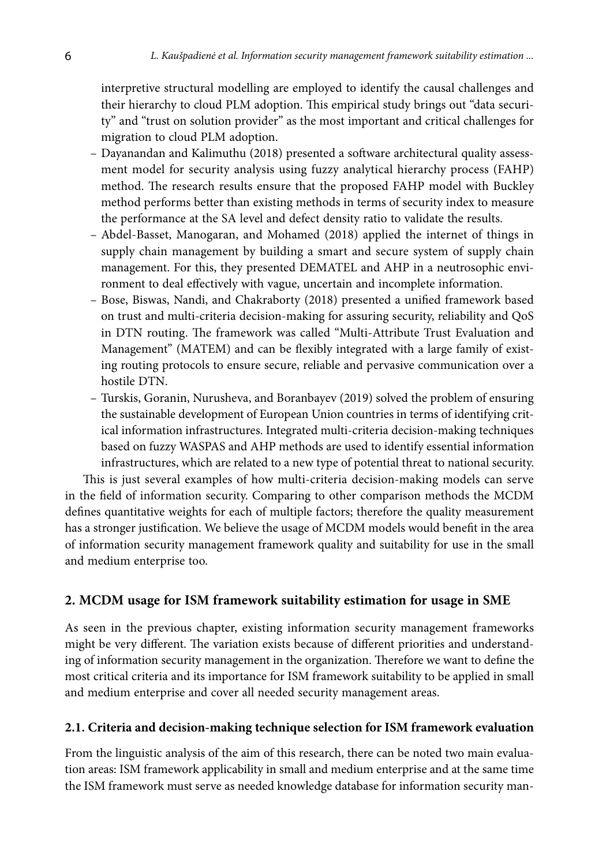interpretive structural modelling are employed to identify the causal challenges and their hierarchy to cloud PLM adoption. This empirical study brings out "data security" and "trust on solution provider" as the most important and critical challenges for migration to cloud PLM adoption.

- Dayanandan and Kalimuthu (2018) presented a software architectural quality assessment model for security analysis using fuzzy analytical hierarchy process (FAHP) method. The research results ensure that the proposed FAHP model with Buckley method performs better than existing methods in terms of security index to measure the performance at the SA level and defect density ratio to validate the results.
- Abdel-Basset, Manogaran, and Mohamed (2018) applied the internet of things in supply chain management by building a smart and secure system of supply chain management. For this, they presented DEMATEL and AHP in a neutrosophic environment to deal effectively with vague, uncertain and incomplete information.
- Bose, Biswas, Nandi, and Chakraborty (2018) presented a unified framework based on trust and multi-criteria decision-making for assuring security, reliability and QoS in DTN routing. The framework was called "Multi-Attribute Trust Evaluation and Management" (MATEM) and can be flexibly integrated with a large family of existing routing protocols to ensure secure, reliable and pervasive communication over a hostile DTN.
- Turskis, Goranin, Nurusheva, and Boranbayev (2019) solved the problem of ensuring the sustainable development of European Union countries in terms of identifying critical information infrastructures. Integrated multi-criteria decision-making techniques based on fuzzy WASPAS and AHP methods are used to identify essential information infrastructures, which are related to a new type of potential threat to national security.

This is just several examples of how multi-criteria decision-making models can serve in the field of information security. Comparing to other comparison methods the MCDM defines quantitative weights for each of multiple factors; therefore the quality measurement has a stronger justification. We believe the usage of MCDM models would benefit in the area of information security management framework quality and suitability for use in the small and medium enterprise too.

# **2. MCDM usage for ISM framework suitability estimation for usage in SME**

As seen in the previous chapter, existing information security management frameworks might be very different. The variation exists because of different priorities and understanding of information security management in the organization. Therefore we want to define the most critical criteria and its importance for ISM framework suitability to be applied in small and medium enterprise and cover all needed security management areas.

## **2.1. Criteria and decision-making technique selection for ISM framework evaluation**

From the linguistic analysis of the aim of this research, there can be noted two main evaluation areas: ISM framework applicability in small and medium enterprise and at the same time the ISM framework must serve as needed knowledge database for information security man-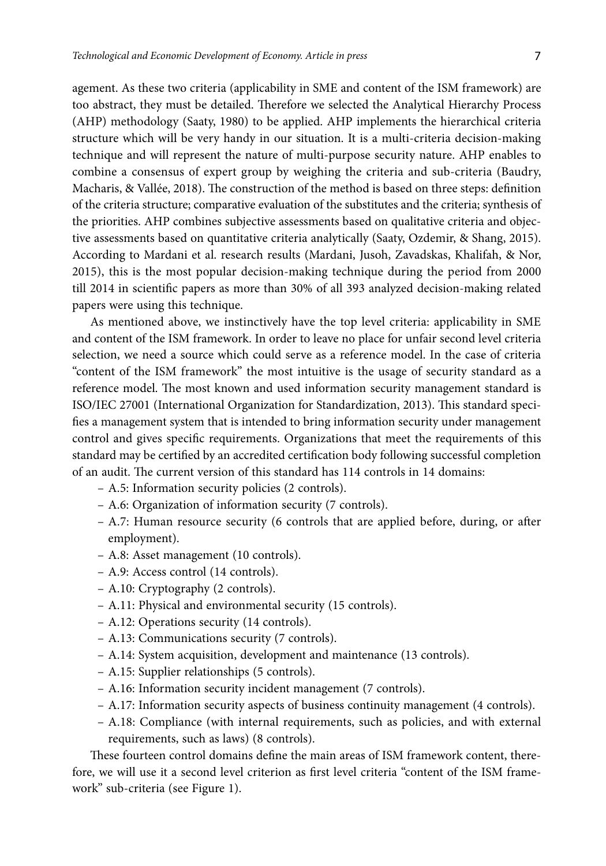agement. As these two criteria (applicability in SME and content of the ISM framework) are too abstract, they must be detailed. Therefore we selected the Analytical Hierarchy Process (AHP) methodology (Saaty, 1980) to be applied. AHP implements the hierarchical criteria structure which will be very handy in our situation. It is a multi-criteria decision-making technique and will represent the nature of multi-purpose security nature. AHP enables to combine a consensus of expert group by weighing the criteria and sub-criteria (Baudry, Macharis, & Vallée, 2018). The construction of the method is based on three steps: definition of the criteria structure; comparative evaluation of the substitutes and the criteria; synthesis of the priorities. AHP combines subjective assessments based on qualitative criteria and objective assessments based on quantitative criteria analytically (Saaty, Ozdemir, & Shang, 2015). According to Mardani et al. research results (Mardani, Jusoh, Zavadskas, Khalifah, & Nor, 2015), this is the most popular decision-making technique during the period from 2000 till 2014 in scientific papers as more than 30% of all 393 analyzed decision-making related papers were using this technique.

As mentioned above, we instinctively have the top level criteria: applicability in SME and content of the ISM framework. In order to leave no place for unfair second level criteria selection, we need a source which could serve as a reference model. In the case of criteria "content of the ISM framework" the most intuitive is the usage of security standard as a reference model. The most known and used information security management standard is ISO/IEC 27001 (International Organization for Standardization, 2013). This standard specifies a management system that is intended to bring information security under management control and gives specific requirements. Organizations that meet the requirements of this standard may be certified by an accredited certification body following successful completion of an audit. The current version of this standard has 114 controls in 14 domains:

- A.5: Information security policies (2 controls).
- A.6: Organization of information security (7 controls).
- A.7: Human resource security (6 controls that are applied before, during, or after employment).
- A.8: Asset management (10 controls).
- A.9: Access control (14 controls).
- A.10: Cryptography (2 controls).
- A.11: Physical and environmental security (15 controls).
- A.12: Operations security (14 controls).
- A.13: Communications security (7 controls).
- A.14: System acquisition, development and maintenance (13 controls).
- A.15: Supplier relationships (5 controls).
- A.16: Information security incident management (7 controls).
- A.17: Information security aspects of business continuity management (4 controls).
- A.18: Compliance (with internal requirements, such as policies, and with external requirements, such as laws) (8 controls).

These fourteen control domains define the main areas of ISM framework content, therefore, we will use it a second level criterion as first level criteria "content of the ISM framework" sub-criteria (see Figure 1).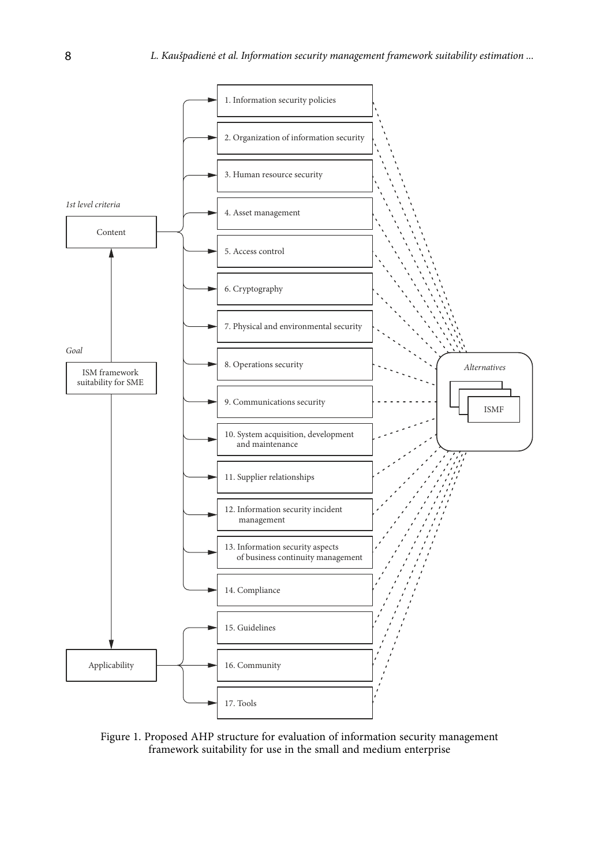

Figure 1. Proposed AHP structure for evaluation of information security management framework suitability for use in the small and medium enterprise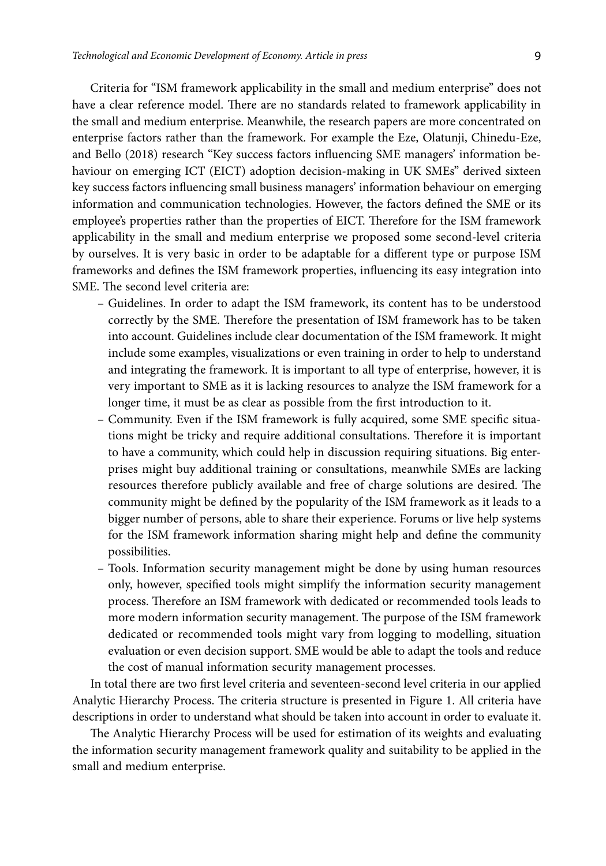Criteria for "ISM framework applicability in the small and medium enterprise" does not have a clear reference model. There are no standards related to framework applicability in the small and medium enterprise. Meanwhile, the research papers are more concentrated on enterprise factors rather than the framework. For example the Eze, Olatunji, Chinedu-Eze, and Bello (2018) research "Key success factors influencing SME managers' information behaviour on emerging ICT (EICT) adoption decision-making in UK SMEs" derived sixteen key success factors influencing small business managers' information behaviour on emerging information and communication technologies. However, the factors defined the SME or its employee's properties rather than the properties of EICT. Therefore for the ISM framework applicability in the small and medium enterprise we proposed some second-level criteria by ourselves. It is very basic in order to be adaptable for a different type or purpose ISM frameworks and defines the ISM framework properties, influencing its easy integration into SME. The second level criteria are:

- Guidelines. In order to adapt the ISM framework, its content has to be understood correctly by the SME. Therefore the presentation of ISM framework has to be taken into account. Guidelines include clear documentation of the ISM framework. It might include some examples, visualizations or even training in order to help to understand and integrating the framework. It is important to all type of enterprise, however, it is very important to SME as it is lacking resources to analyze the ISM framework for a longer time, it must be as clear as possible from the first introduction to it.
- Community. Even if the ISM framework is fully acquired, some SME specific situations might be tricky and require additional consultations. Therefore it is important to have a community, which could help in discussion requiring situations. Big enterprises might buy additional training or consultations, meanwhile SMEs are lacking resources therefore publicly available and free of charge solutions are desired. The community might be defined by the popularity of the ISM framework as it leads to a bigger number of persons, able to share their experience. Forums or live help systems for the ISM framework information sharing might help and define the community possibilities.
- Tools. Information security management might be done by using human resources only, however, specified tools might simplify the information security management process. Therefore an ISM framework with dedicated or recommended tools leads to more modern information security management. The purpose of the ISM framework dedicated or recommended tools might vary from logging to modelling, situation evaluation or even decision support. SME would be able to adapt the tools and reduce the cost of manual information security management processes.

In total there are two first level criteria and seventeen-second level criteria in our applied Analytic Hierarchy Process. The criteria structure is presented in Figure 1. All criteria have descriptions in order to understand what should be taken into account in order to evaluate it.

The Analytic Hierarchy Process will be used for estimation of its weights and evaluating the information security management framework quality and suitability to be applied in the small and medium enterprise.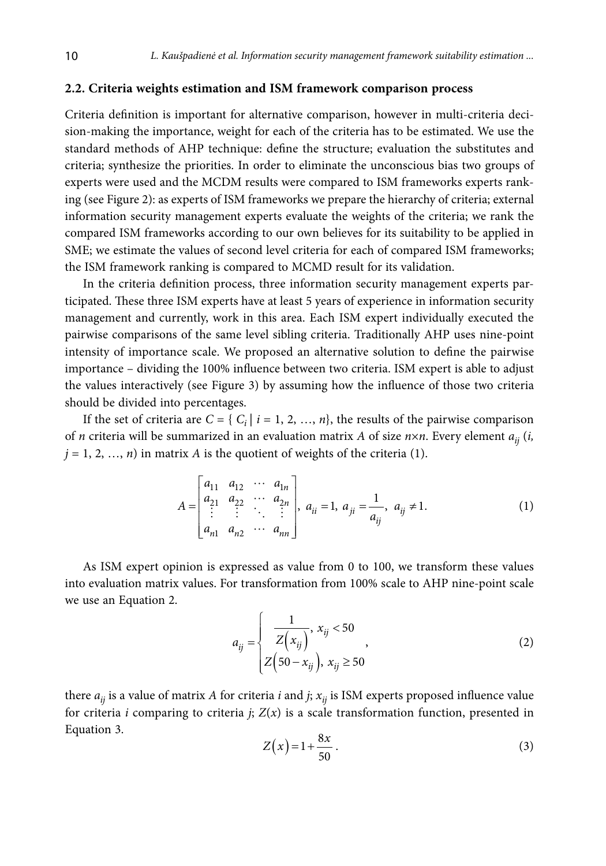### **2.2. Criteria weights estimation and ISM framework comparison process**

Criteria definition is important for alternative comparison, however in multi-criteria decision-making the importance, weight for each of the criteria has to be estimated. We use the standard methods of AHP technique: define the structure; evaluation the substitutes and criteria; synthesize the priorities. In order to eliminate the unconscious bias two groups of experts were used and the MCDM results were compared to ISM frameworks experts ranking (see Figure 2): as experts of ISM frameworks we prepare the hierarchy of criteria; external information security management experts evaluate the weights of the criteria; we rank the compared ISM frameworks according to our own believes for its suitability to be applied in SME; we estimate the values of second level criteria for each of compared ISM frameworks; the ISM framework ranking is compared to MCMD result for its validation.

In the criteria definition process, three information security management experts participated. These three ISM experts have at least 5 years of experience in information security management and currently, work in this area. Each ISM expert individually executed the pairwise comparisons of the same level sibling criteria. Traditionally AHP uses nine-point intensity of importance scale. We proposed an alternative solution to define the pairwise importance – dividing the 100% influence between two criteria. ISM expert is able to adjust the values interactively (see Figure 3) by assuming how the influence of those two criteria should be divided into percentages.

If the set of criteria are  $C = \{ C_i | i = 1, 2, ..., n \}$ , the results of the pairwise comparison of *n* criteria will be summarized in an evaluation matrix *A* of size  $n \times n$ . Every element  $a_{ii}$  (*i*,  $j = 1, 2, ..., n$ ) in matrix *A* is the quotient of weights of the criteria (1).

$$
A = \begin{bmatrix} a_{11} & a_{12} & \cdots & a_{1n} \\ a_{21} & a_{22} & \cdots & a_{2n} \\ \vdots & \vdots & \ddots & \vdots \\ a_{n1} & a_{n2} & \cdots & a_{nn} \end{bmatrix}, a_{ii} = 1, a_{ji} = \frac{1}{a_{ij}}, a_{ij} \neq 1.
$$
 (1)

As ISM expert opinion is expressed as value from 0 to 100, we transform these values into evaluation matrix values. For transformation from 100% scale to AHP nine-point scale we use an Equation 2.

$$
a_{ij} = \begin{cases} \frac{1}{Z(x_{ij})}, & x_{ij} < 50 \\ Z(50 - x_{ij}), & x_{ij} \ge 50 \end{cases}
$$
 (2)

there  $a_{ij}$  is a value of matrix *A* for criteria *i* and *j*;  $x_{ij}$  is ISM experts proposed influence value for criteria *i* comparing to criteria *j*;  $Z(x)$  is a scale transformation function, presented in Equation 3.

$$
Z(x) = 1 + \frac{8x}{50} \tag{3}
$$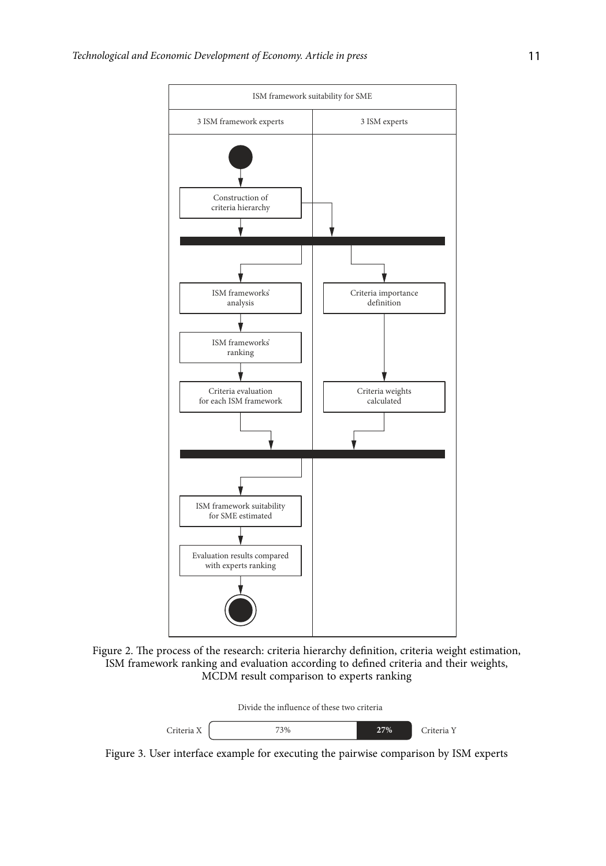

Figure 2. The process of the research: criteria hierarchy definition, criteria weight estimation, ISM framework ranking and evaluation according to defined criteria and their weights, MCDM result comparison to experts ranking



Figure 3. User interface example for executing the pairwise comparison by ISM experts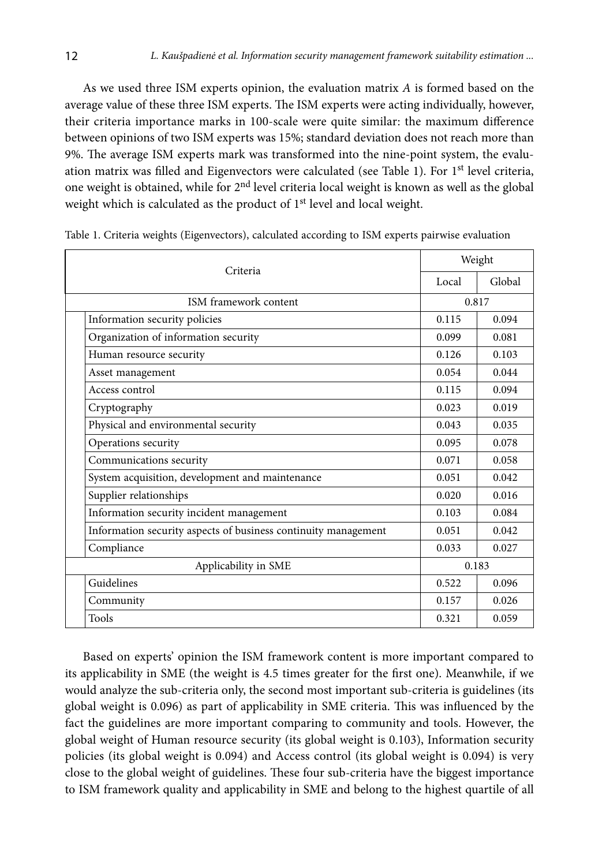As we used three ISM experts opinion, the evaluation matrix *A* is formed based on the average value of these three ISM experts. The ISM experts were acting individually, however, their criteria importance marks in 100-scale were quite similar: the maximum difference between opinions of two ISM experts was 15%; standard deviation does not reach more than 9%. The average ISM experts mark was transformed into the nine-point system, the evaluation matrix was filled and Eigenvectors were calculated (see Table 1). For 1<sup>st</sup> level criteria, one weight is obtained, while for 2nd level criteria local weight is known as well as the global weight which is calculated as the product of 1<sup>st</sup> level and local weight.

|                                                                | Weight |        |  |
|----------------------------------------------------------------|--------|--------|--|
| Criteria                                                       | Local  | Global |  |
| ISM framework content                                          |        | 0.817  |  |
| Information security policies                                  | 0.115  | 0.094  |  |
| Organization of information security                           | 0.099  | 0.081  |  |
| Human resource security                                        | 0.126  | 0.103  |  |
| Asset management                                               | 0.054  | 0.044  |  |
| Access control                                                 | 0.115  | 0.094  |  |
| Cryptography                                                   | 0.023  | 0.019  |  |
| Physical and environmental security                            | 0.043  | 0.035  |  |
| Operations security                                            | 0.095  | 0.078  |  |
| Communications security                                        | 0.071  | 0.058  |  |
| System acquisition, development and maintenance                | 0.051  | 0.042  |  |
| Supplier relationships                                         | 0.020  | 0.016  |  |
| Information security incident management                       | 0.103  | 0.084  |  |
| Information security aspects of business continuity management | 0.051  | 0.042  |  |
| Compliance                                                     | 0.033  | 0.027  |  |
| Applicability in SME                                           | 0.183  |        |  |
| Guidelines                                                     | 0.522  | 0.096  |  |
| Community                                                      | 0.157  | 0.026  |  |
| <b>Tools</b>                                                   | 0.321  | 0.059  |  |

Table 1. Criteria weights (Eigenvectors), calculated according to ISM experts pairwise evaluation

Based on experts' opinion the ISM framework content is more important compared to its applicability in SME (the weight is 4.5 times greater for the first one). Meanwhile, if we would analyze the sub-criteria only, the second most important sub-criteria is guidelines (its global weight is 0.096) as part of applicability in SME criteria. This was influenced by the fact the guidelines are more important comparing to community and tools. However, the global weight of Human resource security (its global weight is 0.103), Information security policies (its global weight is 0.094) and Access control (its global weight is 0.094) is very close to the global weight of guidelines. These four sub-criteria have the biggest importance to ISM framework quality and applicability in SME and belong to the highest quartile of all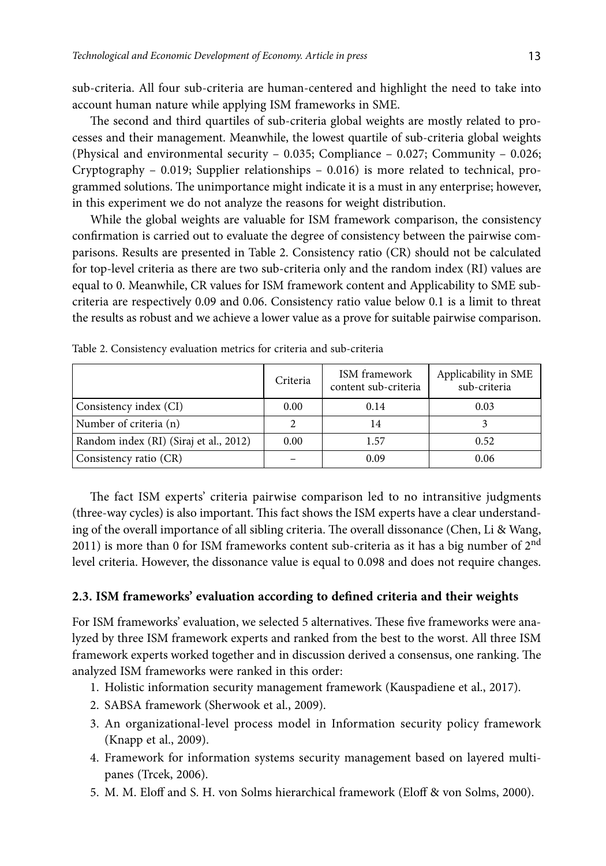sub-criteria. All four sub-criteria are human-centered and highlight the need to take into account human nature while applying ISM frameworks in SME.

The second and third quartiles of sub-criteria global weights are mostly related to processes and their management. Meanwhile, the lowest quartile of sub-criteria global weights (Physical and environmental security  $-0.035$ ; Compliance  $-0.027$ ; Community  $-0.026$ ; Cryptography – 0.019; Supplier relationships – 0.016) is more related to technical, programmed solutions. The unimportance might indicate it is a must in any enterprise; however, in this experiment we do not analyze the reasons for weight distribution.

While the global weights are valuable for ISM framework comparison, the consistency confirmation is carried out to evaluate the degree of consistency between the pairwise comparisons. Results are presented in Table 2. Consistency ratio (CR) should not be calculated for top-level criteria as there are two sub-criteria only and the random index (RI) values are equal to 0. Meanwhile, CR values for ISM framework content and Applicability to SME subcriteria are respectively 0.09 and 0.06. Consistency ratio value below 0.1 is a limit to threat the results as robust and we achieve a lower value as a prove for suitable pairwise comparison.

|                                        | Criteria | ISM framework<br>content sub-criteria | Applicability in SME<br>sub-criteria |
|----------------------------------------|----------|---------------------------------------|--------------------------------------|
| Consistency index (CI)                 | 0.00     | 0.14                                  | 0.03                                 |
| Number of criteria (n)                 |          | 14                                    |                                      |
| Random index (RI) (Siraj et al., 2012) | 0.00     | 1.57                                  | 0.52                                 |
| Consistency ratio (CR)                 |          | 0.09                                  | 0.06                                 |

Table 2. Consistency evaluation metrics for criteria and sub-criteria

The fact ISM experts' criteria pairwise comparison led to no intransitive judgments (three-way cycles) is also important. This fact shows the ISM experts have a clear understanding of the overall importance of all sibling criteria. The overall dissonance (Chen, Li & Wang, 2011) is more than 0 for ISM frameworks content sub-criteria as it has a big number of  $2<sup>nd</sup>$ level criteria. However, the dissonance value is equal to 0.098 and does not require changes.

#### **2.3. ISM frameworks' evaluation according to defined criteria and their weights**

For ISM frameworks' evaluation, we selected 5 alternatives. These five frameworks were analyzed by three ISM framework experts and ranked from the best to the worst. All three ISM framework experts worked together and in discussion derived a consensus, one ranking. The analyzed ISM frameworks were ranked in this order:

- 1. Holistic information security management framework (Kauspadiene et al., 2017).
- 2. SABSA framework (Sherwook et al., 2009).
- 3. An organizational-level process model in Information security policy framework (Knapp et al., 2009).
- 4. Framework for information systems security management based on layered multipanes (Trcek, 2006).
- 5. M. M. Eloff and S. H. von Solms hierarchical framework (Eloff & von Solms, 2000).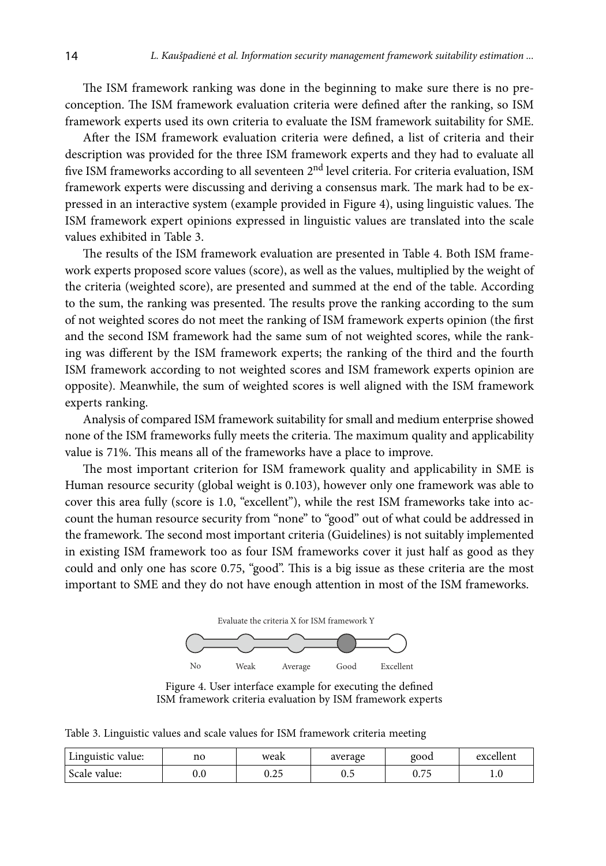The ISM framework ranking was done in the beginning to make sure there is no preconception. The ISM framework evaluation criteria were defined after the ranking, so ISM framework experts used its own criteria to evaluate the ISM framework suitability for SME.

After the ISM framework evaluation criteria were defined, a list of criteria and their description was provided for the three ISM framework experts and they had to evaluate all five ISM frameworks according to all seventeen 2<sup>nd</sup> level criteria. For criteria evaluation, ISM framework experts were discussing and deriving a consensus mark. The mark had to be expressed in an interactive system (example provided in Figure 4), using linguistic values. The ISM framework expert opinions expressed in linguistic values are translated into the scale values exhibited in Table 3.

The results of the ISM framework evaluation are presented in Table 4. Both ISM framework experts proposed score values (score), as well as the values, multiplied by the weight of the criteria (weighted score), are presented and summed at the end of the table. According to the sum, the ranking was presented. The results prove the ranking according to the sum of not weighted scores do not meet the ranking of ISM framework experts opinion (the first and the second ISM framework had the same sum of not weighted scores, while the ranking was different by the ISM framework experts; the ranking of the third and the fourth ISM framework according to not weighted scores and ISM framework experts opinion are opposite). Meanwhile, the sum of weighted scores is well aligned with the ISM framework experts ranking.

Analysis of compared ISM framework suitability for small and medium enterprise showed none of the ISM frameworks fully meets the criteria. The maximum quality and applicability value is 71%. This means all of the frameworks have a place to improve.

The most important criterion for ISM framework quality and applicability in SME is Human resource security (global weight is 0.103), however only one framework was able to cover this area fully (score is 1.0, "excellent"), while the rest ISM frameworks take into account the human resource security from "none" to "good" out of what could be addressed in the framework. The second most important criteria (Guidelines) is not suitably implemented in existing ISM framework too as four ISM frameworks cover it just half as good as they could and only one has score 0.75, "good". This is a big issue as these criteria are the most important to SME and they do not have enough attention in most of the ISM frameworks.



Figure 4. User interface example for executing the defined ISM framework criteria evaluation by ISM framework experts

Table 3. Linguistic values and scale values for ISM framework criteria meeting

| Linguistic value: | no           | weak                  | average | good           | excellent |
|-------------------|--------------|-----------------------|---------|----------------|-----------|
| Scale value:      | $_{\rm 0.0}$ | $\sim$ $\sim$<br>∪.∠J | ∪.J     | $ -$<br>v. / J | 1.U       |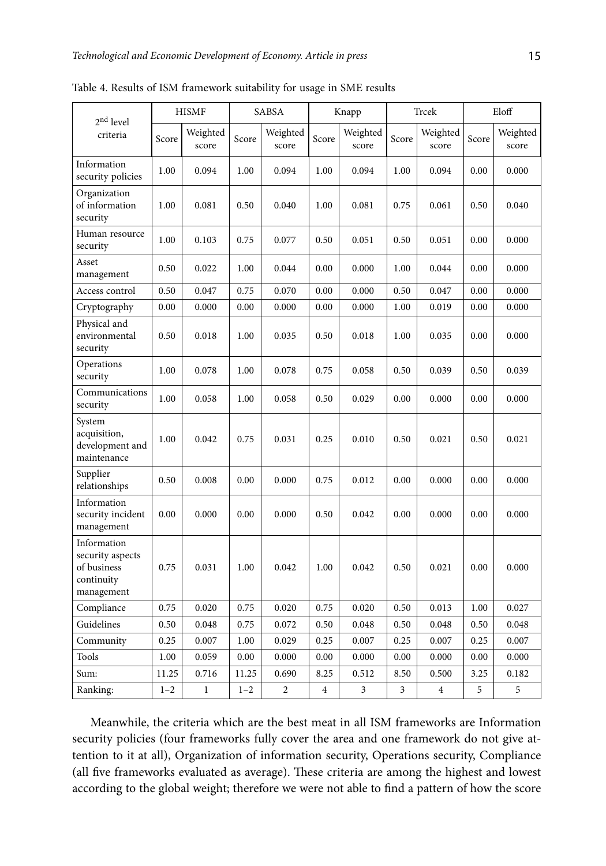| 2 <sup>nd</sup> level                                                      | <b>HISMF</b> |                   | SABSA   |                   | Knapp                   |                   | Trcek |                   | Eloff |                   |
|----------------------------------------------------------------------------|--------------|-------------------|---------|-------------------|-------------------------|-------------------|-------|-------------------|-------|-------------------|
| criteria                                                                   | Score        | Weighted<br>score | Score   | Weighted<br>score | Score                   | Weighted<br>score | Score | Weighted<br>score | Score | Weighted<br>score |
| Information<br>security policies                                           | 1.00         | 0.094             | 1.00    | 0.094             | 1.00                    | 0.094             | 1.00  | 0.094             | 0.00  | 0.000             |
| Organization<br>of information<br>security                                 | 1.00         | 0.081             | 0.50    | 0.040             | 1.00                    | 0.081             | 0.75  | 0.061             | 0.50  | 0.040             |
| Human resource<br>security                                                 | 1.00         | 0.103             | 0.75    | 0.077             | 0.50                    | 0.051             | 0.50  | 0.051             | 0.00  | 0.000             |
| Asset<br>management                                                        | 0.50         | 0.022             | 1.00    | 0.044             | 0.00                    | 0.000             | 1.00  | 0.044             | 0.00  | 0.000             |
| Access control                                                             | 0.50         | 0.047             | 0.75    | 0.070             | 0.00                    | 0.000             | 0.50  | 0.047             | 0.00  | 0.000             |
| Cryptography                                                               | 0.00         | 0.000             | 0.00    | 0.000             | 0.00                    | 0.000             | 1.00  | 0.019             | 0.00  | 0.000             |
| Physical and<br>environmental<br>security                                  | 0.50         | 0.018             | 1.00    | 0.035             | 0.50                    | 0.018             | 1.00  | 0.035             | 0.00  | 0.000             |
| Operations<br>security                                                     | 1.00         | 0.078             | 1.00    | 0.078             | 0.75                    | 0.058             | 0.50  | 0.039             | 0.50  | 0.039             |
| Communications<br>security                                                 | 1.00         | 0.058             | 1.00    | 0.058             | 0.50                    | 0.029             | 0.00  | 0.000             | 0.00  | 0.000             |
| System<br>acquisition,<br>development and<br>maintenance                   | 1.00         | 0.042             | 0.75    | 0.031             | 0.25                    | 0.010             | 0.50  | 0.021             | 0.50  | 0.021             |
| Supplier<br>relationships                                                  | 0.50         | 0.008             | 0.00    | 0.000             | 0.75                    | 0.012             | 0.00  | 0.000             | 0.00  | 0.000             |
| Information<br>security incident<br>management                             | 0.00         | 0.000             | 0.00    | 0.000             | 0.50                    | 0.042             | 0.00  | 0.000             | 0.00  | 0.000             |
| Information<br>security aspects<br>of business<br>continuity<br>management | 0.75         | 0.031             | 1.00    | 0.042             | 1.00                    | 0.042             | 0.50  | 0.021             | 0.00  | 0.000             |
| Compliance                                                                 | 0.75         | 0.020             | 0.75    | 0.020             | 0.75                    | 0.020             | 0.50  | 0.013             | 1.00  | 0.027             |
| Guidelines                                                                 | 0.50         | 0.048             | 0.75    | 0.072             | 0.50                    | 0.048             | 0.50  | 0.048             | 0.50  | 0.048             |
| Community                                                                  | 0.25         | 0.007             | 1.00    | 0.029             | 0.25                    | 0.007             | 0.25  | 0.007             | 0.25  | 0.007             |
| Tools                                                                      | 1.00         | 0.059             | 0.00    | 0.000             | 0.00                    | 0.000             | 0.00  | 0.000             | 0.00  | 0.000             |
| Sum:                                                                       | 11.25        | 0.716             | 11.25   | 0.690             | 8.25                    | 0.512             | 8.50  | 0.500             | 3.25  | 0.182             |
| Ranking:                                                                   | $1 - 2$      | $\mathbf 1$       | $1 - 2$ | $\overline{c}$    | $\overline{\mathbf{4}}$ | 3                 | 3     | $\overline{4}$    | 5     | 5                 |

Table 4. Results of ISM framework suitability for usage in SME results

Meanwhile, the criteria which are the best meat in all ISM frameworks are Information security policies (four frameworks fully cover the area and one framework do not give attention to it at all), Organization of information security, Operations security, Compliance (all five frameworks evaluated as average). These criteria are among the highest and lowest according to the global weight; therefore we were not able to find a pattern of how the score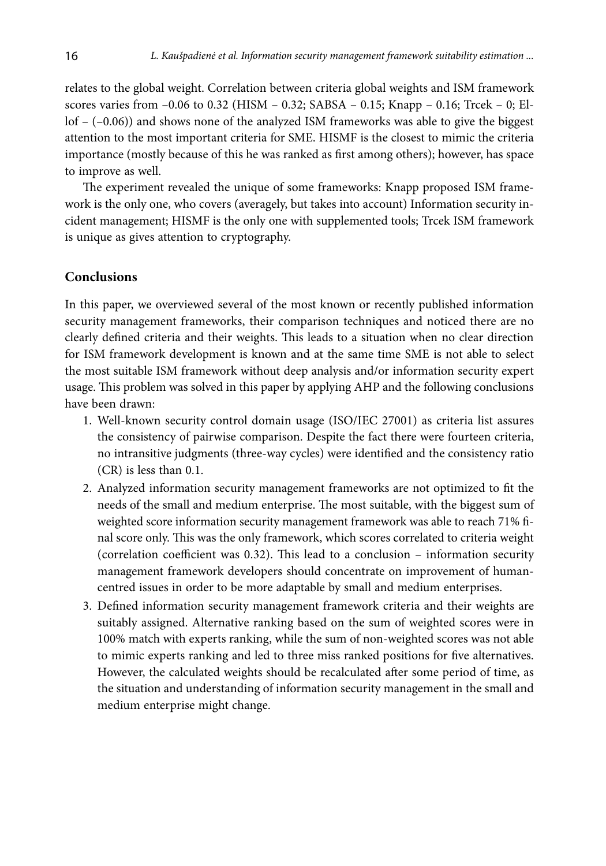relates to the global weight. Correlation between criteria global weights and ISM framework scores varies from  $-0.06$  to 0.32 (HISM – 0.32; SABSA – 0.15; Knapp – 0.16; Trcek – 0; Ellof – (–0.06)) and shows none of the analyzed ISM frameworks was able to give the biggest attention to the most important criteria for SME. HISMF is the closest to mimic the criteria importance (mostly because of this he was ranked as first among others); however, has space to improve as well.

The experiment revealed the unique of some frameworks: Knapp proposed ISM framework is the only one, who covers (averagely, but takes into account) Information security incident management; HISMF is the only one with supplemented tools; Trcek ISM framework is unique as gives attention to cryptography.

### **Conclusions**

In this paper, we overviewed several of the most known or recently published information security management frameworks, their comparison techniques and noticed there are no clearly defined criteria and their weights. This leads to a situation when no clear direction for ISM framework development is known and at the same time SME is not able to select the most suitable ISM framework without deep analysis and/or information security expert usage. This problem was solved in this paper by applying AHP and the following conclusions have been drawn:

- 1. Well-known security control domain usage (ISO/IEC 27001) as criteria list assures the consistency of pairwise comparison. Despite the fact there were fourteen criteria, no intransitive judgments (three-way cycles) were identified and the consistency ratio (CR) is less than 0.1.
- 2. Analyzed information security management frameworks are not optimized to fit the needs of the small and medium enterprise. The most suitable, with the biggest sum of weighted score information security management framework was able to reach 71% final score only. This was the only framework, which scores correlated to criteria weight (correlation coefficient was 0.32). This lead to a conclusion – information security management framework developers should concentrate on improvement of humancentred issues in order to be more adaptable by small and medium enterprises.
- 3. Defined information security management framework criteria and their weights are suitably assigned. Alternative ranking based on the sum of weighted scores were in 100% match with experts ranking, while the sum of non-weighted scores was not able to mimic experts ranking and led to three miss ranked positions for five alternatives. However, the calculated weights should be recalculated after some period of time, as the situation and understanding of information security management in the small and medium enterprise might change.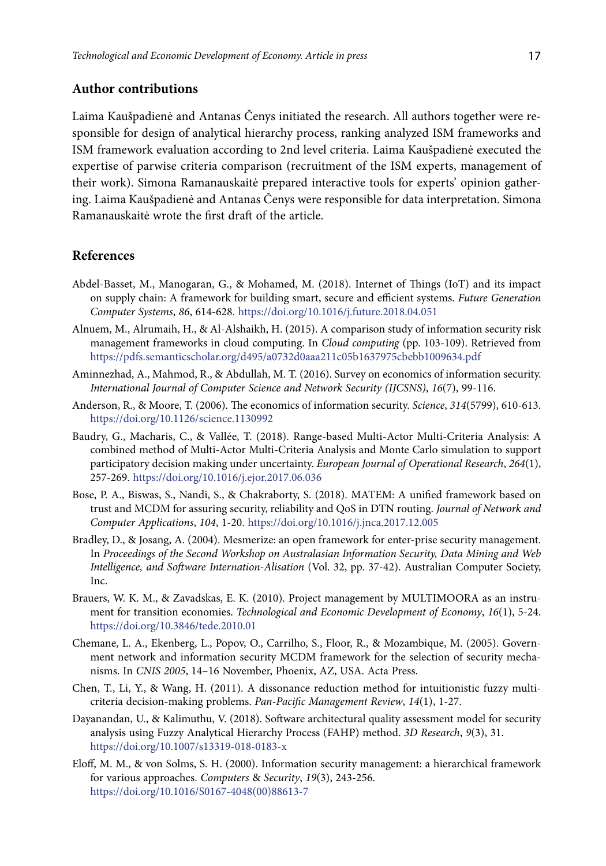### **Author contributions**

Laima Kaušpadienė and Antanas Čenys initiated the research. All authors together were responsible for design of analytical hierarchy process, ranking analyzed ISM frameworks and ISM framework evaluation according to 2nd level criteria. Laima Kaušpadienė executed the expertise of parwise criteria comparison (recruitment of the ISM experts, management of their work). Simona Ramanauskaitė prepared interactive tools for experts' opinion gathering. Laima Kaušpadienė and Antanas Čenys were responsible for data interpretation. Simona Ramanauskaitė wrote the first draft of the article.

## **References**

- Abdel-Basset, M., Manogaran, G., & Mohamed, M. (2018). Internet of Things (IoT) and its impact on supply chain: A framework for building smart, secure and efficient systems. *Future Generation Computer Systems*, *86*, 614-628. <https://doi.org/10.1016/j.future.2018.04.051>
- Alnuem, M., Alrumaih, H., & Al-Alshaikh, H. (2015). A comparison study of information security risk management frameworks in cloud computing. In *Cloud computing* (pp. 103-109). Retrieved from <https://pdfs.semanticscholar.org/d495/a0732d0aaa211c05b1637975cbebb1009634.pdf>
- Aminnezhad, A., Mahmod, R., & Abdullah, M. T. (2016). Survey on economics of information security. *International Journal of Computer Science and Network Security (IJCSNS)*, *16*(7), 99-116.
- Anderson, R., & Moore, T. (2006). The economics of information security. *Science*, *314*(5799), 610-613. <https://doi.org/10.1126/science.1130992>
- Baudry, G., Macharis, C., & Vallée, T. (2018). Range-based Multi-Actor Multi-Criteria Analysis: A combined method of Multi-Actor Multi-Criteria Analysis and Monte Carlo simulation to support participatory decision making under uncertainty. *European Journal of Operational Research*, *264*(1), 257-269.<https://doi.org/10.1016/j.ejor.2017.06.036>
- Bose, P. A., Biswas, S., Nandi, S., & Chakraborty, S. (2018). MATEM: A unified framework based on trust and MCDM for assuring security, reliability and QoS in DTN routing. *Journal of Network and Computer Applications*, *104*, 1-20. <https://doi.org/10.1016/j.jnca.2017.12.005>
- Bradley, D., & Josang, A. (2004). Mesmerize: an open framework for enter-prise security management. In *Proceedings of the Second Workshop on Australasian Information Security, Data Mining and Web Intelligence, and Software Internation-Alisation* (Vol. 32, pp. 37-42). Australian Computer Society, Inc.
- Brauers, W. K. M., & Zavadskas, E. K. (2010). Project management by MULTIMOORA as an instrument for transition economies. *Technological and Economic Development of Economy*, *16*(1), 5-24. <https://doi.org/10.3846/tede.2010.01>
- Chemane, L. A., Ekenberg, L., Popov, O., Carrilho, S., Floor, R., & Mozambique, M. (2005). Government network and information security MCDM framework for the selection of security mechanisms. In *CNIS 2005*, 14–16 November, Phoenix, AZ, USA. Acta Press.
- Chen, T., Li, Y., & Wang, H. (2011). A dissonance reduction method for intuitionistic fuzzy multicriteria decision-making problems. *Pan-Pacific Management Review*, *14*(1), 1-27.
- Dayanandan, U., & Kalimuthu, V. (2018). Software architectural quality assessment model for security analysis using Fuzzy Analytical Hierarchy Process (FAHP) method. *3D Research*, *9*(3), 31. <https://doi.org/10.1007/s13319-018-0183-x>
- Eloff, M. M., & von Solms, S. H. (2000). Information security management: a hierarchical framework for various approaches. *Computers* & *Security*, *19*(3), 243-256. [https://doi.org/10.1016/S0167-4048\(00\)88613-7](https://doi.org/10.1016/S0167-4048(00)88613-7)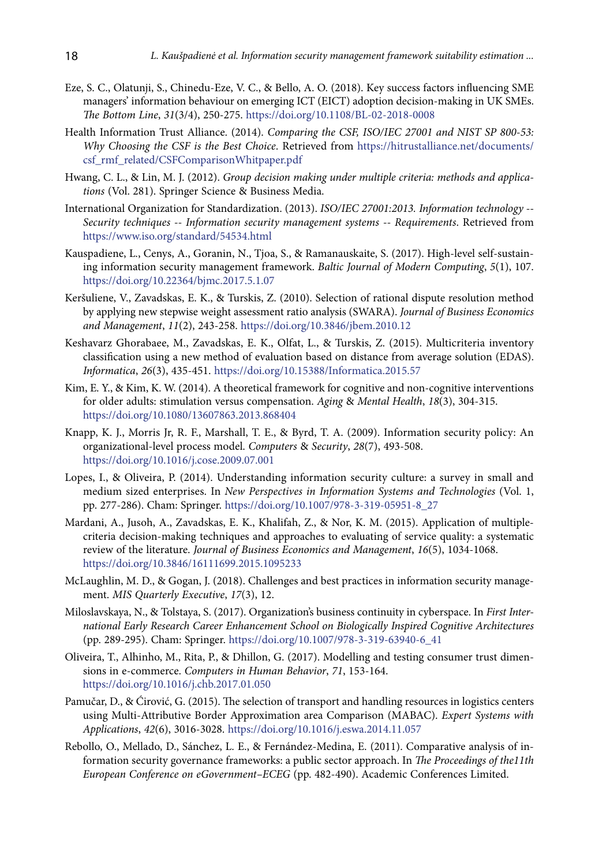- Eze, S. C., Olatunji, S., Chinedu-Eze, V. C., & Bello, A. O. (2018). Key success factors influencing SME managers' information behaviour on emerging ICT (EICT) adoption decision-making in UK SMEs. *The Bottom Line*, *31*(3/4), 250-275. <https://doi.org/10.1108/BL-02-2018-0008>
- Health Information Trust Alliance. (2014). *Comparing the CSF, ISO/IEC 27001 and NIST SP 800-53: Why Choosing the CSF is the Best Choice*. Retrieved from [https://hitrustalliance.net/documents/](https://hitrustalliance.net/documents/csf_rmf_related/CSFComparisonWhitpaper.pdf) [csf\\_rmf\\_related/CSFComparisonWhitpaper.pdf](https://hitrustalliance.net/documents/csf_rmf_related/CSFComparisonWhitpaper.pdf)
- Hwang, C. L., & Lin, M. J. (2012). *Group decision making under multiple criteria: methods and applications* (Vol. 281). Springer Science & Business Media.
- International Organization for Standardization. (2013). *ISO/IEC 27001:2013. Information technology -- Security techniques -- Information security management systems -- Requirements*. Retrieved from <https://www.iso.org/standard/54534.html>
- Kauspadiene, L., Cenys, A., Goranin, N., Tjoa, S., & Ramanauskaite, S. (2017). High-level self-sustaining information security management framework. *Baltic Journal of Modern Computing*, *5*(1), 107. <https://doi.org/10.22364/bjmc.2017.5.1.07>
- Keršuliene, V., Zavadskas, E. K., & Turskis, Z. (2010). Selection of rational dispute resolution method by applying new stepwise weight assessment ratio analysis (SWARA). *Journal of Business Economics and Management*, *11*(2), 243-258. <https://doi.org/10.3846/jbem.2010.12>
- Keshavarz Ghorabaee, M., Zavadskas, E. K., Olfat, L., & Turskis, Z. (2015). Multicriteria inventory classification using a new method of evaluation based on distance from average solution (EDAS). *Informatica*, *26*(3), 435-451. <https://doi.org/10.15388/Informatica.2015.57>
- Kim, E. Y., & Kim, K. W. (2014). A theoretical framework for cognitive and non-cognitive interventions for older adults: stimulation versus compensation. *Aging* & *Mental Health*, *18*(3), 304-315. <https://doi.org/10.1080/13607863.2013.868404>
- Knapp, K. J., Morris Jr, R. F., Marshall, T. E., & Byrd, T. A. (2009). Information security policy: An organizational-level process model. *Computers* & *Security*, *28*(7), 493-508. <https://doi.org/10.1016/j.cose.2009.07.001>
- Lopes, I., & Oliveira, P. (2014). Understanding information security culture: a survey in small and medium sized enterprises. In *New Perspectives in Information Systems and Technologies* (Vol. 1, pp. 277-286). Cham: Springer. [https://doi.org/10.1007/978-3-319-05951-8\\_27](https://doi.org/10.1007/978-3-319-05951-8_27)
- Mardani, A., Jusoh, A., Zavadskas, E. K., Khalifah, Z., & Nor, K. M. (2015). Application of multiplecriteria decision-making techniques and approaches to evaluating of service quality: a systematic review of the literature. *Journal of Business Economics and Management*, *16*(5), 1034-1068. <https://doi.org/10.3846/16111699.2015.1095233>
- McLaughlin, M. D., & Gogan, J. (2018). Challenges and best practices in information security management. *MIS Quarterly Executive*, *17*(3), 12.
- Miloslavskaya, N., & Tolstaya, S. (2017). Organization's business continuity in cyberspace. In *First International Early Research Career Enhancement School on Biologically Inspired Cognitive Architectures* (pp. 289-295). Cham: Springer. [https://doi.org/10.1007/978-3-319-63940-6\\_41](https://doi.org/10.1007/978-3-319-63940-6_41)
- Oliveira, T., Alhinho, M., Rita, P., & Dhillon, G. (2017). Modelling and testing consumer trust dimensions in e-commerce. *Computers in Human Behavior*, *71*, 153-164. <https://doi.org/10.1016/j.chb.2017.01.050>
- Pamučar, D., & Ćirović, G. (2015). The selection of transport and handling resources in logistics centers using Multi-Attributive Border Approximation area Comparison (MABAC). *Expert Systems with Applications*, *42*(6), 3016-3028. <https://doi.org/10.1016/j.eswa.2014.11.057>
- Rebollo, O., Mellado, D., Sánchez, L. E., & Fernández-Medina, E. (2011). Comparative analysis of information security governance frameworks: a public sector approach. In *The Proceedings of the11th European Conference on eGovernment–ECEG* (pp. 482-490). Academic Conferences Limited.